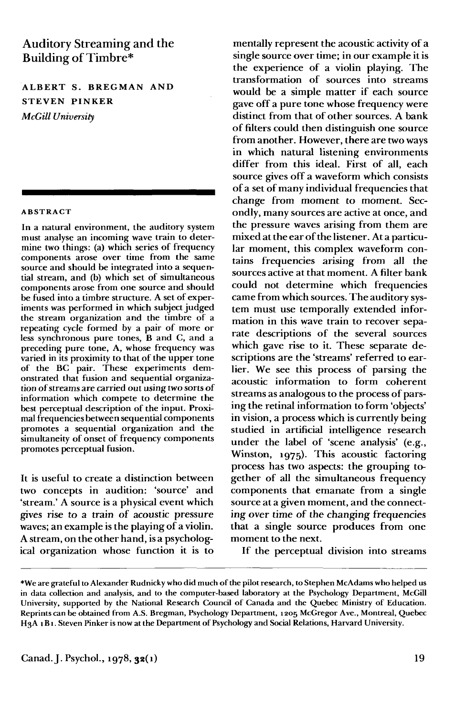# Auditory Streaming and the Building of Timbre\*

**ALBERT S. BREGMAN AND STEVEN PINKER** *McGill University*

# **ABSTRACT**

In a natural environment, the auditory system must analyse an incoming wave train to determine two things: (a) which series of frequency components arose over time from the same source and should be integrated into a sequential stream, and (b) which set of simultaneous components arose from one source and should be fused into a timbre structure. A set of experiments was performed in which subject judged the stream organization and the timbre of a repeating cycle formed by a pair of more or less synchronous pure tones, B and C, and a preceding pure tone, A, whose frequency was varied in its proximity to that of the upper tone of the BC pair. These experiments demonstrated that fusion and sequential organization of streams are carried out using two sorts of information which compete to determine the best perceptual description of the input. Proximal frequencies between sequential components promotes a sequential organization and the simultaneity of onset of frequency components promotes perceptual fusion.

It is useful to create a distinction between two concepts in audition: 'source' and 'stream.' A source is a physical event which gives rise to a train of acoustic pressure waves; an example is the playing of a violin. A stream, on the other hand, is a psychological organization whose function it is to

mentally represent the acoustic activity of a single source over time; in our example it is the experience of a violin playing. The transformation of sources into streams would be a simple matter if each source gave off a pure tone whose frequency were distinct from that of other sources. A bank of filters could then distinguish one source from another. However, there are two ways in which natural listening environments differ from this ideal. First of all, each source gives off a waveform which consists of a set of many individual frequencies that change from moment to moment. Secondly, many sources are active at once, and the pressure waves arising from them are mixed at the ear of the listener. At a particular moment, this complex waveform contains frequencies arising from all the sources active at that moment. A filter bank could not determine which frequencies came from which sources. The auditory system must use temporally extended information in this wave train to recover separate descriptions of the several sources which gave rise to it. These separate descriptions are the 'streams' referred to earlier. We see this process of parsing the acoustic information to form coherent streams as analogous to the process of parsing the retinal information to form 'objects' in vision, a process which is currently being studied in artificial intelligence research under the label of 'scene analysis' (e.g., under the rabel of scene analysis  $(e.g.,$ whiston,  $1975$ . This acoustic factoring process has two aspects: the grouping to-<br>gether of all the simultaneous frequency gether or all the simultaneous frequency components that emanate from a single source at a given moment, and the connecting over time of the changing frequencies that a single source produces from one<br>moment to the next.

If the perceptual division into streams

<sup>\*</sup>We are grateful to Alexander Rudnicky who did much of the pilot research, to Stephen McAdams who helped us in data collection and analysis, and to the computer-based laboratory at the Psychology Department, McGill University, supported by the National Research Council of Canada and the Quebec Ministry of Education. Reprints can be obtained from A.S. Bregman, Psychology Department, 1205 McGregor Ave., Montreal, Quebec H3A 1B1. Steven Pinker is now at the Department of Psychology and Social Relations, Harvard University.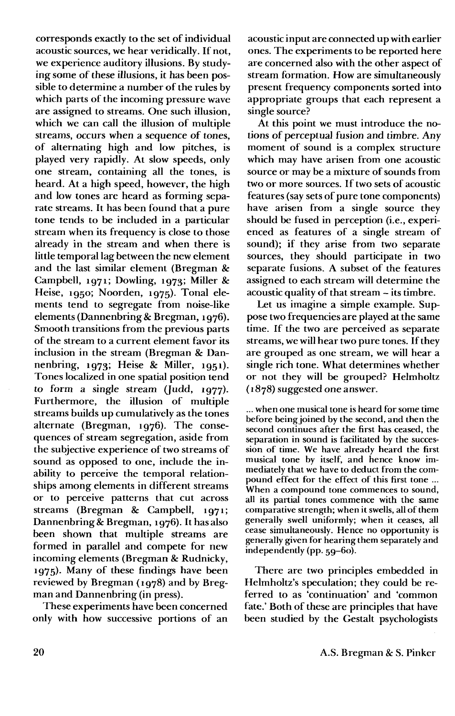corresponds exactly to the set of individual acoustic sources, we hear veridically. If not, we experience auditory illusions. By studying some of these illusions, it has been possible to determine a number of the rules by which parts of the incoming pressure wave are assigned to streams. One such illusion, which we can call the illusion of multiple streams, occurs when a sequence of tones, of alternating high and low pitches, is played very rapidly. At slow speeds, only one stream, containing all the tones, is heard. At a high speed, however, the high and low tones are heard as forming separate streams. It has been found that a pure tone tends to be included in a particular stream when its frequency is close to those already in the stream and when there is little temporal lag between the new element and the last similar element (Bregman & Campbell, ig7i; Dowling, 1973; Miller & Heise, 1950; Noorden, 1975). Tonal elements tend to segregate from noise-like elements (Dannenbring & Bregman, 1976). Smooth transitions from the previous parts of the stream to a current element favor its inclusion in the stream (Bregman & Dannenbring, 1973; Heise & Miller, 1951). Tones localized in one spatial position tend to form a single stream (Judd, 1977). Furthermore, the illusion of multiple streams builds up cumulatively as the tones alternate (Bregman, 1976). The conseance that  $\epsilon$  (Degman,  $\frac{10}{70}$ ). The consequences of stream segregation, aside from the subjective experience of two streams of sound as opposed to one, include the inability to perceive the temporal relationships among elements in different streams or to perceive patterns that cut across streams (Bregman & Campbell, 1971; Dannenbring & Bregman, 1976). It has also been shown that multiple streams are formed in parallel and compete for new incoming elements (Bregman & Rudnicky,  $1975$ ). Many of these findings have been reviewed by Bregman (1978) and by Bregman and Dannenbring (in press).

These experiments have been concerned only with how successive portions of an acoustic input are connected up with earlier ones. The experiments to be reported here are concerned also with the other aspect of stream formation. How are simultaneously present frequency components sorted into appropriate groups that each represent a single source?

At this point we must introduce the notions of perceptual fusion and timbre. Any moment of sound is a complex structure which may have arisen from one acoustic source or may be a mixture of sounds from two or more sources. If two sets of acoustic features (say sets of pure tone components) have arisen from a single source they should be fused in perception (i.e., experienced as features of a single stream of sound); if they arise from two separate sources, they should participate in two separate fusions. A subset of the features assigned to each stream will determine the acoustic quality of that stream - its timbre.

Let us imagine a simple example. Suppose two frequencies are played at the same time. If the two are perceived as separate streams, we will hear two pure tones. If they are grouped as one stream, we will hear a single rich tone. What determines whether or not they will be grouped? Helmholtz (1878) suggested one answer.

... when one musical tone is heard for some time before being joined by the second, and then the second continues after the first has ceased, the separation in sound is facilitated by the succession of time. We have already heard the first musical tone by itself, and hence know immediately that we have to deduct from the compound effect for the effect of this first tone ... When a compound tone commences to sound, all its partial tones commence with the same comparative strength; when it swells, all of them generally swell uniformly; when it ceases, all cease simultaneously. Hence no opportunity is generally given for hearing them separately and independently (pp. 59-60).

There are two principles embedded in Helmholtz's speculation; they could be referred to as 'continuation' and 'common fate.' Both of these are principles that have been studied by the Gestalt psychologists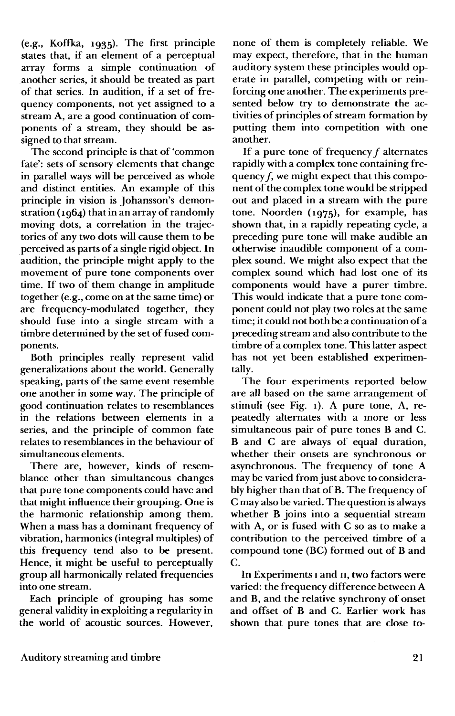(e.g., Koffka, 1935). The first principle states that, if an element of a perceptual array forms a simple continuation of another series, it should be treated as part of that series. In audition, if a set of frequency components, not yet assigned to a stream A, are a good continuation of components of a stream, they should be assigned to that stream.

The second principle is that of 'common fate': sets of sensory elements that change in parallel ways will be perceived as whole and distinct entities. An example of this principle in vision is Johansson's demonstration (1964) that in an array of randomly moving dots, a correlation in the trajectories of any two dots will cause them to be perceived as parts of a single rigid object. In audition, the principle might apply to the movement of pure tone components over time. If two of them change in amplitude together (e.g., come on at the same time) or are frequency-modulated together, they should fuse into a single stream with a timbre determined by the set of fused components.

Both principles really represent valid generalizations about the world. Generally speaking, parts of the same event resemble one another in some way. The principle of good continuation relates to resemblances in the relations between elements in a series, and the principle of common fate relates to resemblances in the behaviour of simultaneous elements.

There are, however, kinds of resemblance other than simultaneous changes that pure tone components could have and that might influence their grouping. One is the harmonic relationship among them. When a mass has a dominant frequency of vibration, harmonics (integral multiples) of this frequency tend also to be present. Hence, it might be useful to perceptually group all harmonically related frequencies into one stream.

Each principle of grouping has some general validity in exploiting a regularity in the world of acoustic sources. However,

none of them is completely reliable. We may expect, therefore, that in the human auditory system these principles would operate in parallel, competing with or reinforcing one another. The experiments presented below try to demonstrate the activities of principles of stream formation by putting them into competition with one another.

If a pure tone of frequency  $f$  alternates rapidly with a complex tone containing frequency  $f$ , we might expect that this component of the complex tone would be stripped out and placed in a stream with the pure tone. Noorden (1975), for example, has shown that, in a rapidly repeating cycle, a preceding pure tone will make audible an otherwise inaudible component of a complex sound. We might also expect that the complex sound which had lost one of its components would have a purer timbre. This would indicate that a pure tone component could not play two roles at the same time; it could not both be a continuation of a preceding stream and also contribute to the timbre of a complex tone. This latter aspect has not yet been established experimentally.

The four experiments reported below are all based on the same arrangement of stimuli (see Fig. 1). A pure tone, A, repeatedly alternates with a more or less simultaneous pair of pure tones B and C. B and C are always of equal duration, whether their onsets are synchronous or asynchronous. The frequency of tone A may be varied from just above to considerably higher than that of B. The frequency of C may also be varied. The question is always whether B joins into a sequential stream with A, or is fused with C so as to make a contribution to the perceived timbre of a compound tone (BC) formed out of B and C.

In Experiments 1 and 11, two factors were varied: the frequency difference between A and B, and the relative synchrony of onset and offset of B and C. Earlier work has shown that pure tones that are close to-

Auditory streaming and timbre **21**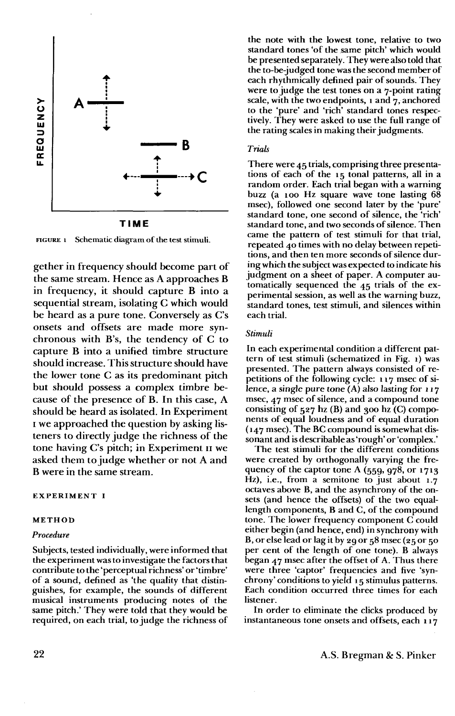

FIGURE i Schematic diagram of the test stimuli.

gether in frequency should become part of the same stream. Hence as A approaches B in frequency, it should capture B into a sequential stream, isolating C which would be heard as a pure tone. Conversely as C's onsets and offsets are made more synchronous with B's, the tendency of C to capture B into a unified timbre structure should increase. This structure should have the lower tone C as its predominant pitch but should possess a complex timbre because of the presence of B. In this case, A should be heard as isolated. In Experiment i we approached the question by asking listeners to directly judge the richness of the tone having C's pitch; in Experiment II we asked them to judge whether or not A and B were in the same stream.

### EXPERIMENT I

### METHOD

# *Procedure*

Subjects, tested individually, were informed that the experiment was to investigate the factors that contribute to the 'perceptual richness' or 'timbre' of a sound, defined as 'the quality that distinguishes, for example, the sounds of different musical instruments producing notes of the same pitch.' They were told that they would be required, on each trial, to judge the richness of the note with the lowest tone, relative to two standard tones 'of the same pitch' which would be presented separately. They were also told that the to-be-judged tone was the second member of each rhythmically defined pair of sounds. They were to judge the test tones on a 7-point rating scale, with the two endpoints, 1 and 7, anchored to the 'pure' and 'rich' standard tones respectively. They were asked to use the full range of the rating scales in making their judgments.

# *Trials*

There were 45 trials, comprising three presentations of each of the 15 tonal patterns, all in a random order. Each trial began with a warning buzz (a 100 Hz square wave tone lasting 68 msec), followed one second later by the 'pure' standard tone, one second of silence, the 'rich' standard tone, and two seconds of silence. Then came the pattern of test stimuli for that trial, repeated 40 times with no delay between repetitions, and then ten more seconds of silence during which the subject was expected to indicate his judgment on a sheet of paper. A computer automatically sequenced the 45 trials of the experimental session, as well as the warning buzz, standard tones, test stimuli, and silences within each trial.

#### *Stimuli*

In each experimental condition a different pattern of test stimuli (schematized in Fig. 1) was presented. The pattern always consisted of repetitions of the following cycle: 117 msec of silence, a single pure tone (A) also lasting for  $117$ msec, 47 msec of silence, and a compound tone consisting of  $527$  hz (B) and 300 hz (C) components of equal loudness and of equal duration (147 msec). The BC compound is somewhat dissonant and is describable as 'rough' or 'complex.'

The test stimuli for the different conditions were created by orthogonally varying the frequency of the captor tone A (559, 978, or 1713 Hz), i.e., from a semitone to just about 1.7 octaves above B, and the asynchrony of the onsets (and hence the offsets) of the two equallength components, B and C, of the compound tone. The lower frequency component C could either begin (and hence, end) in synchrony with B, or else lead or lag it by 29 or 58 msec (25 or 50 per cent of the length of one tone). B always began 47 msec after the offset of A. Thus there were three 'captor' frequencies and five 'synchrony' conditions to yield 15 stimulus patterns. Each condition occurred three times for each listener.

In order to eliminate the clicks produced by instantaneous tone onsets and offsets, each 117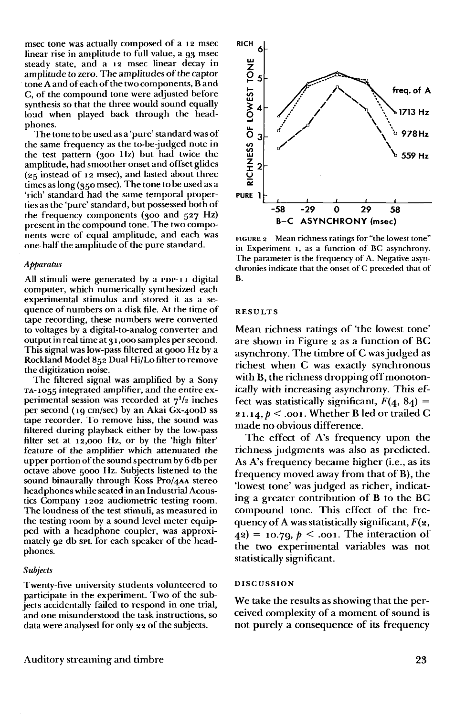msec tone was actually composed of a 12 msec linear rise in amplitude to full value, a 93 msec steady state, and a 12 msec linear decay in amplitude to zero. The amplitudes of the captor tone A and of each of the two components, B and C, of the compound tone were adjusted before synthesis so that the three would sound equally loud when played back through the headphones.

The tone to be used as a 'pure' standard was of the same frequency as the to-be-judged note in the test pattern (300 Hz) but had twice the amplitude, had smoother onset and offset glides (25 instead of 12 msec), and lasted about three times as long (350 msec). The tone to be used as a 'rich' standard had the same temporal properties as the 'pure' standard, but possessed both of the frequency components (300 and 527 Hz) present in the compound tone. The two components were of equal amplitude, and each was one-half the amplitude of the pure standard.

#### *Apparatus*

All stimuli were generated by a PDP-11 digital computer, which numerically synthesized each experimental stimulus and stored it as a sequence of numbers on a disk file. At the time of tape recording, these numbers were converted to voltages by a digital-to-analog converter and output in real time at 31,000 samples per second. This signal was low-pass filtered at gooo Hz by a Rockland Model 852 Dual Hi/Lo filter to remove the digitization noise.

The filtered signal was amplified by a Sony TA-1055 integrated amplifier, and the entire experimental session was recorded at  $7^{1/2}$  inches per second (19 cm/sec) by an Akai GX-400D ss tape recorder. To remove hiss, the sound was filtered during playback either by the low-pass filter set at 12,000 Hz, or by the 'high filter' feature of the amplifier which attenuated the upper portion of the sound spectrum by 6 db per octave above 5000 Hz. Subjects listened to the sound binaurally through Koss Pro/4AA stereo headphones while seated in an Industrial Acoustics Company 1202 audiometric testing room. The loudness of the test stimuli, as measured in the testing room by a sound level meter equipped with a headphone coupler, was approximately 92 db SPL for each speaker of the headphones.

### *Subjects*

Twenty-five university students volunteered to participate in the experiment. Two of the subjects accidentally failed to respond in one trial, and one misunderstood the task instructions, so data were analysed for only 22 of the subjects.



FIGURE 2 Mean richness ratings for "the lowest tone" in Experiment 1, as a function of BC asynchrony. The parameter is the frequency of A. Negative asynchronies indicate that the onset of C preceded that of B.

# RESULTS

Mean richness ratings of 'the lowest tone' are shown in Figure 2 as a function of BC asynchrony. The timbre of C was judged as richest when C was exactly synchronous with B, the richness dropping off monotonically with increasing asynchrony. This effect was statistically significant,  $F(4, 84) =$ 21.14, *p <* .001. Whether B led or trailed C made no obvious difference.

The effect of A's frequency upon the richness judgments was also as predicted. As A's frequency became higher (i.e., as its frequency moved away from that of B), the 'lowest tone' was judged as richer, indicating a greater contribution of B to the BC compound tone. This effect of the frequency of A was statistically significant, *F(z,*  $(42) = 10.79$ ,  $p < .001$ . The interaction of the two experimental variables was not statistically significant.

### DISCUSSION

We take the results as showing that the perceived complexity of a moment of sound is not purely a consequence of its frequency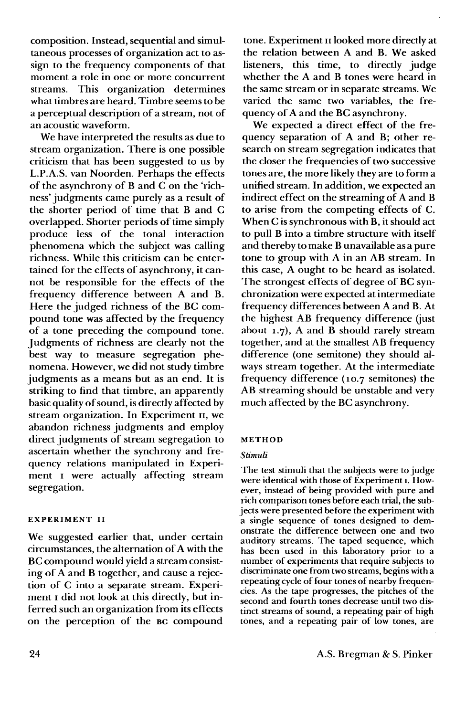composition. Instead, sequential and simultaneous processes of organization act to assign to the frequency components of that moment a role in one or more concurrent streams. This organization determines what timbres are heard. Timbre seems to be a perceptual description of a stream, not of an acoustic waveform.

We have interpreted the results as due to stream organization. There is one possible criticism that has been suggested to us by L.P.A.S. van Noorden. Perhaps the effects of the asynchrony of B and C on the 'richness' judgments came purely as a result of the shorter period of time that B and C overlapped. Shorter periods of time simply produce less of the tonal interaction phenomena which the subject was calling richness. While this criticism can be entertained for the effects of asynchrony, it cannot be responsible for the effects of the frequency difference between A and B. Here the judged richness of the BC compound tone was affected by the frequency of a tone preceding the compound tone. Judgments of richness are clearly not the best way to measure segregation phenomena. However, we did not study timbre judgments as a means but as an end. It is striking to find that timbre, an apparently basic quality of sound, is directly affected by stream organization. In Experiment n, we abandon richness judgments and employ direct judgments of stream segregation to ascertain whether the synchrony and frequency relations manipulated in Experiment i were actually affecting stream segregation.

# **EXPERIMENT II**

We suggested earlier that, under certain circumstances, the alternation of A with the BC compound would yield a stream consisting of A and B together, and cause a rejection of C into a separate stream. Experiment i did not look at this directly, but inferred such an organization from its effects on the perception of the BC compound

tone. Experiment  $u$  looked more directly at the relation between A and B. We asked listeners, this time, to directly judge whether the A and B tones were heard in the same stream or in separate streams. We varied the same two variables, the frequency of A and the BC asynchrony.

We expected a direct effect of the frequency separation of A and B; other research on stream segregation indicates that the closer the frequencies of two successive tones are, the more likely they are to form a unified stream. In addition, we expected an indirect effect on the streaming of A and B to arise from the competing effects of C. When C is synchronous with B, it should act to pull B into a timbre structure with itself and thereby to make B unavailable as a pure tone to group with A in an AB stream. In this case, A ought to be heard as isolated. The strongest effects of degree of BC synchronization were expected at intermediate frequency differences between A and B. At the highest AB frequency difference (just about 1.7), A and B should rarely stream together, and at the smallest AB frequency difference (one semitone) they should always stream together. At the intermediate frequency difference (10.7 semitones) the AB streaming should be unstable and very much affected by the BC asynchrony.

## **METHOD**

### *Stimuli*

The test stimuli that the subjects were to judge were identical with those of Experiment 1. However, instead of being provided with pure and rich comparison tones before each trial, the subjects were presented before the experiment with a single sequence of tones designed to demonstrate the difference between one and two auditory streams. The taped sequence, which has been used in this laboratory prior to a number of experiments that require subjects to discriminate one from two streams, begins with a repeating cycle of four tones of nearby frequencies. As the tape progresses, the pitches of the second and fourth tones decrease until two distinct streams of sound, a repeating pair of high tones, and a repeating pair of low tones, are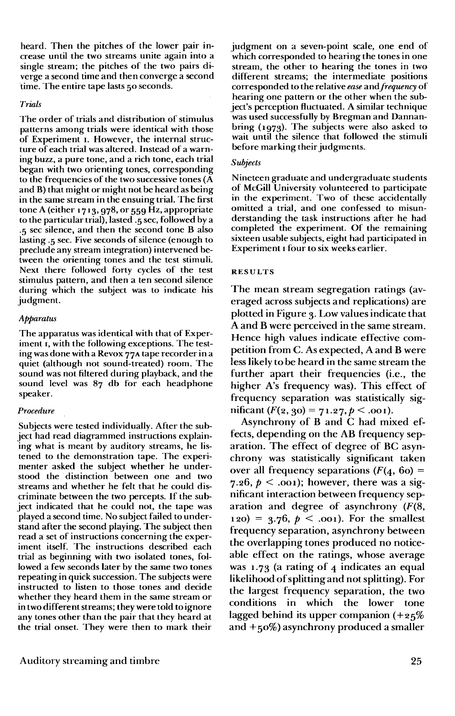heard. Then the pitches of the lower pair increase until the two streams unite again into a single stream; the pitches of the two pairs diverge a second time and then converge a second time. The entire tape lasts 50 seconds.

# *Trials*

The order of trials and distribution of stimulus patterns among trials were identical with those of Experiment 1. However, the internal structure of each trial was altered. Instead of a warning buzz, a pure tone, and a rich tone, each trial began with two orienting tones, corresponding to the frequencies of the two successive tones (A and B) that might or might not be heard as being in the same stream in the ensuing trial. The first tone A (either 1713, 978, or 559 Hz, appropriate to the particular trial), lasted .5 sec, followed by a .5 sec silence, and then the second tone B also lasting .5 sec. Five seconds of silence (enough to preclude any stream integration) intervened between the orienting tones and the test stimuli. Next there followed forty cycles of the test stimulus pattern, and then a ten second silence during which the subject was to indicate his judgment.

### *Apparatus*

The apparatus was identical with that of Experiment 1, with the following exceptions. The testing was done with a Revox 77A tape recorder in a quiet (although not sound-treated) room. The sound was not filtered during playback, and the sound level was 87 db for each headphone speaker.

# *Procedure*

Subjects were tested individually. After the subject had read diagrammed instructions explaining what is meant by auditory streams, he listened to the demonstration tape. The experimenter asked the subject whether he understood the distinction between one and two streams and whether he felt that he could discriminate between the two percepts. If the subject indicated that he could not, the tape was played a second time. No subject failed to understand after the second playing. The subject then read a set of instructions concerning the experiment itself. The instructions described each trial as beginning with two isolated tones, followed a few seconds later by the same two tones repeating in quick succession. The subjects were instructed to listen to those tones and decide whether they heard them in the same stream or in two different streams; they were told to ignore any tones other than the pair that they heard at the trial onset. They were then to mark their judgment on a seven-point scale, one end of which corresponded to hearing the tones in one stream, the other to hearing the tones in two different streams; the intermediate positions corresponded to the relative *ease andfrequency* of hearing one pattern or the other when the subject's perception fluctuated. A similar technique was used successfully by Bregman and Dannanbring (1973). The subjects were also asked to wait until the silence that followed the stimuli before marking their judgments.

# *Subjects*

Nineteen graduate arid undergraduate students of McGill University volunteered to participate in the experiment. Two of these accidentally omitted a trial, and one confessed to misunderstanding the task instructions after he had completed the experiment. Of the remaining sixteen usable subjects, eight had participated in Experiment 1 four to six weeks earlier.

### **RESULTS**

The mean stream segregation ratings (averaged across subjects and replications) are plotted in Figure 3. Low values indicate that A and B were perceived in the same stream. Hence high values indicate effective competition from C. As expected, A and B were less likely to be heard in the same stream the further apart their frequencies (i.e., the higher A's frequency was). This effect of frequency separation was statistically significant  $(F(2, 30) = 71.27, p \le .001)$ .

Asynchrony of B and C had mixed effects, depending on the AB frequency separation. The effect of degree of BC asynchrony was statistically significant taken over all frequency separations  $(F(4, 60) =$ 7.26,  $p < .001$ ; however, there was a significant interaction between frequency separation and degree of asynchrony  $(F(8,$  $(120) = 3.76, p < .001$ . For the smallest frequency separation, asynchrony between the overlapping tones produced no noticeable effect on the ratings, whose average was  $1.73$  (a rating of 4 indicates an equal likelihood of splitting and not splitting). For the largest frequency separation, the two conditions in which the lower tone lagged behind its upper companion  $(+25\%)$ and  $+50\%$ ) asynchrony produced a smaller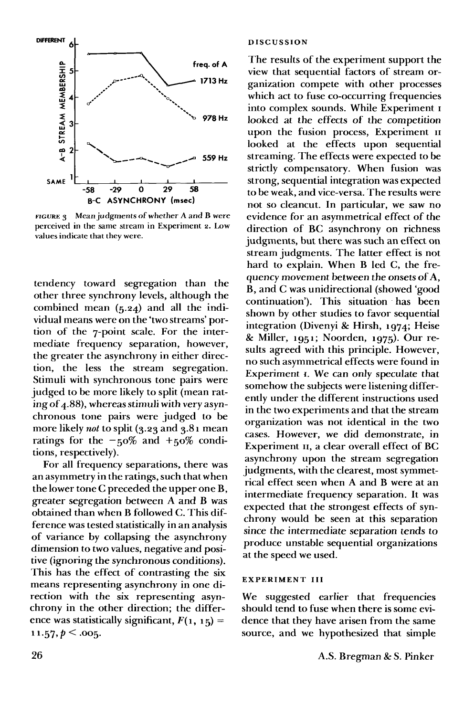

FIGURE 3 Mean judgments of whether A and B were perceived in the same stream in Experiment *2.* Low values indicate that they were.

tendency toward segregation than the other three synchrony levels, although the combined mean (5.24) and all the individual means were on the 'two streams' portion of the 7-point scale. For the intermediate frequency separation, however, the greater the asynchrony in either direction, the less the stream segregation. Stimuli with synchronous tone pairs were judged to be more likely to split (mean rating of 4.88), whereas stimuli with very asynchronous tone pairs were judged to be more likely *not* to split (3.23 and 3.81 mean ratings for the  $-50\%$  and  $+50\%$  conditions, respectively).

For all frequency separations, there was an asymmetry in the ratings, such that when the lower tone C preceded the upper one B, greater segregation between A and B was obtained than when B followed C. This difference was tested statistically in an analysis of variance by collapsing the asynchrony dimension to two values, negative and positive (ignoring the synchronous conditions). This has the effect of contrasting the six means representing asynchrony in one direction with the six representing asynchrony in the other direction; the difference was statistically significant,  $F(1, 15) =$ 11.57,  $p < .005$ .

### DISCUSSION

The results of the experiment support the view that sequential factors of stream organization compete with other processes which act to fuse co-occurring frequencies into complex sounds. While Experiment 1 looked at the effects of the competition upon the fusion process, Experiment 11 looked at the effects upon sequential streaming. The effects were expected to be strictly compensatory. When fusion was strong, sequential integration was expected to be weak, and vice-versa. The results were not so cleancut. In particular, we saw no evidence for an asymmetrical effect of the direction of BC asynchrony on richness judgments, but there was such an effect on stream judgments. The latter effect is not hard to explain. When B led C, the frequency movement between the onsets of A, B, and C was unidirectional (showed 'good continuation'). This situation has been shown by other studies to favor sequential integration (Divenyi & Hirsh, 1974; Heise & Miller, 1951; Noorden, 1975). Our results agreed with this principle. However, no such asymmetrical effects were found in Experiment *1.* We can only speculate that somehow the subjects were listening differently under the different instructions used in the two experiments and that the stream organization was not identical in the two cases. However, we did demonstrate, in Experiment 11, a clear overall effect of BC asynchrony upon the stream segregation judgments, with the clearest, most symmetreflective section of the createst, most symmetincar effect seem when A and B were at an intermediate frequency separation. It was expected that the strongest effects of synchrony would be seen at this separation since the intermediate separation tends to produce unstable sequential organizations<br>at the speed we used.

# EXPERIMENT III

We suggested earlier that frequencies should tend to fuse when there is some evidence that they have arisen from the same source, and we hypothesized that simple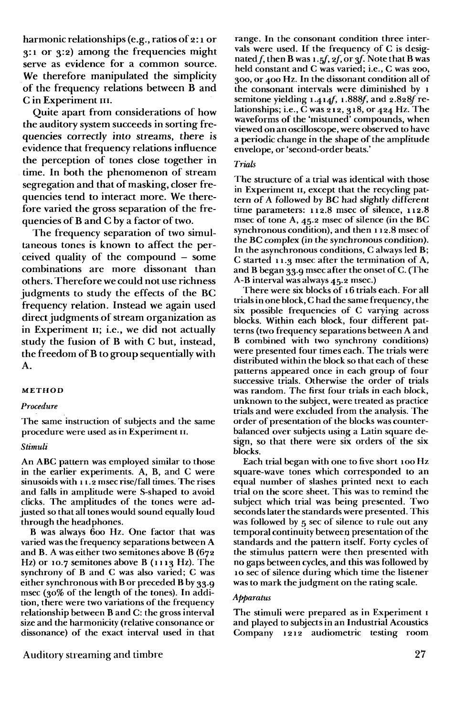harmonic relationships (e.g., ratios of 2:1 or 3:1 or 3:2) among the frequencies might serve as evidence for a common source. We therefore manipulated the simplicity of the frequency relations between B and C in Experiment in.

Quite apart from considerations of how the auditory system succeeds in sorting frequencies correctly into streams, there is evidence that frequency relations influence the perception of tones close together in time. In both the phenomenon of stream segregation and that of masking, closer frequencies tend to interact more. We therefore varied the gross separation of the frequencies of B and C by a factor of two.

The frequency separation of two simultaneous tones is known to affect the perceived quality of the compound — some combinations are more dissonant than others. Therefore we could not use richness judgments to study the effects of the BC frequency relation. Instead we again used direct judgments of stream organization as in Experiment n; i.e., we did not actually study the fusion of B with C but, instead, the freedom of B to group sequentially with A.

#### **METHOD**

# *Procedure*

The same instruction of subjects and the same procedure were used as in Experiment n.

# *Stimuli*

An ABC pattern was employed similar to those in the earlier experiments. A, B, and C were sinusoids with 11.2 msec rise/fall times. The rises and falls in amplitude were S-shaped to avoid clicks. The amplitudes of the tones were adjusted so that all tones would sound equally loud through the headphones.

B was always 600 Hz. One factor that was varied was the frequency separations between A and B. A was either two semitones above B (672 Hz) or 10.7 semitones above  $B(1113 Hz)$ . The synchrony of B and C was also varied; C was either synchronous with B or preceded B by 33.9 msec (30% of the length of the tones). In addition, there were two variations of the frequency relationship between B and C: the gross interval size and the harmonicity (relative consonance or dissonance) of the exact interval used in that

Auditory streaming and timbre **27**

range. In the consonant condition three intervals were used. If the frequency of C is designated f, then B was 1.5f,  $2f$ , or  $2f$ . Note that B was held constant and C was varied; i.e., C was 200, 300, or 400 Hz. In the dissonant condition all of the consonant intervals were diminished by 1 semitone yielding  $1.414f$ ,  $1.888f$ , and  $2.828f$  relationships; i.e.,  $\check{C}$  was 212, 318, or 424 Hz. The waveforms of the 'mistuned' compounds, when viewed on an oscilloscope, were observed to have a periodic change in the shape of the amplitude envelope, or 'second-order beats.'

# *Trials*

The structure of a trial was identical with those in Experiment 11, except that the recycling pattern of A followed by BC had slightly different time parameters: 112.8 msec of silence, 112.8 msec of tone A, 45.2 msec of silence (in the BC synchronous condition), and then 112.8 msec of the BC complex (in the synchronous condition). In the asynchronous conditions, C always led B; C started 11.3 msec after the termination of A, and B began 33.9 msec after the onset of C. (The A-B interval was always 45.2 msec.)

There were six blocks of 16 trials each. For all trials in one block, C had the same frequency, the six possible frequencies of C varying across blocks. Within each block, four different patterns (two frequency separations between A and B combined with two synchrony conditions) were presented four times each. The trials were distributed within the block so that each of these patterns appeared once in each group of four successive trials. Otherwise the order of trials was random. The first four trials in each block, unknown to the subject, were treated as practice trials and were excluded from the analysis. The order of presentation of the blocks was counterbalanced over subjects using a Latin square design, so that there were six orders of the six blocks.

Each trial began with one to five short 100 Hz square-wave tones which corresponded to an equal number of slashes printed next to each trial on the score sheet. This was to remind the subject which trial was being presented. Two seconds later the standards were presented. This was followed by 5 sec of silence to rule out any temporal continuity between presentation of the standards and the pattern itself. Forty cycles of the stimulus pattern were then presented with no gaps between cycles, and this was followed by 10 sec of silence during which time the listener was to mark the judgment on the rating scale.

# *Apparatus*

The stimuli were prepared as in Experiment 1 and played to subjects in an Industrial Acoustics Company 1212 audiometric testing room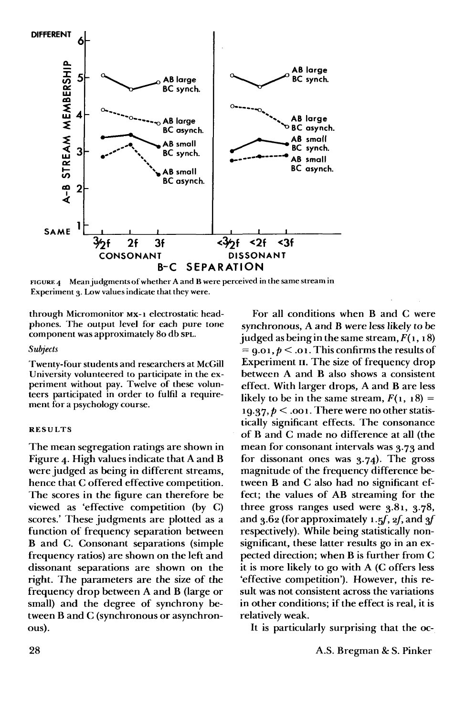

FIGURE 4 Mean judgments of whether A and B were perceived in the same stream in Experiment 3. Low values indicate that they were.

through Micromonitor MX-I electrostatic headphones. The output level for each pure tone component was approximately 80 db SPL.

### *Subjects*

Twenty-four students and researchers at McGill University volunteered to participate in the experiment without pay. Twelve of these volunteers participated in order to fulfil a requirement for a psychology course.

# **RESULTS**

The mean segregation ratings are shown in Figure 4. High values indicate that A and B were judged as being in different streams, hence that C offered effective competition. The scores in the figure can therefore be viewed as 'effective competition (by C) scores.' These judgments are plotted as a function of frequency separation between B and C. Consonant separations (simple frequency ratios) are shown on the left and dissonant separations are shown on the right. The parameters are the size of the frequency drop between A and B (large or small) and the degree of synchrony between B and C (synchronous or asynchronous).

For all conditions when B and C were synchronous, A and B were less likely to be judged as being in the same stream, *F(* 1, 18)  $=$  9.01,  $p \leq .01$ . This confirms the results of Experiment II. The size of frequency drop between A and B also shows a consistent effect. With larger drops, A and B are less likely to be in the same stream,  $F(1, 18) =$ 19.37,  $b \leq .001$ . There were no other statistically significant effects. The consonance of B and C made no difference at all (the mean for consonant intervals was 3.73 and for dissonant ones was  $3.74$ ). The gross magnitude of the frequency difference between B and C also had no significant effect; the values of AB streaming for the three gross ranges used were 3.81, 3.78, and  $3.62$  (for approximately 1.5f, 2f, and 3f respectively). While being statistically nonsignificant, these latter results go in an expected direction; when B is further from C it is more likely to go with A (C offers less 'effective competition'). However, this result was not consistent across the variations in other conditions; if the effect is real, it is relatively weak.

It is particularly surprising that the oc-

**28** A.S. Bregman & S. Pinker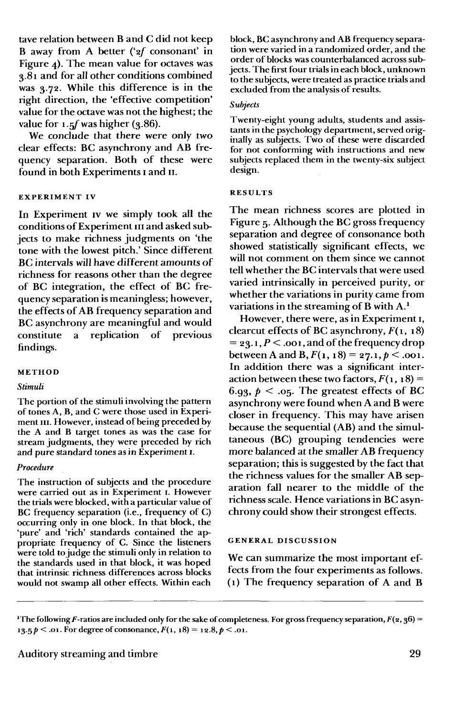tave relation between B and C did not keep B away from A better ( $2f$  consonant' in Figure 4). The mean value for octaves was 3.81 and for all other conditions combined was 3.72. While this difference is in the right direction, the 'effective competition' value for the octave was not the highest; the value for  $1.5$  was higher (3.86).

We conclude that there were only two clear effects: BC asynchrony and AB frequency separation. Both of these were found in both Experiments 1 and 11.

# **EXPERIMENT IV**

In Experiment iv we simply took all the conditions of Experiment in and asked subjects to make richness judgments on 'the tone with the lowest pitch.' Since different BC intervals will have different amounts of richness for reasons other than the degree of BC integration, the effect of BC frequency separation is meaningless; however, the effects of AB frequency separation and BC asynchrony are meaningful and would constitute a replication of previous findings.

#### **METHOD**

# *Stimuli*

The portion of the stimuli involving the pattern of tones A, B, and C were those used in Experiment in. However, instead of being preceded by the A and B target tones as was the case for stream judgments, they were preceded by rich and pure standard tones as in Experiment 1.

# *Procedure*

The instruction of subjects and the procedure were carried out as in Experiment 1. However the trials were blocked, with a particular value of BC frequency separation (i.e., frequency of C) occurring only in one block. In that block, the 'pure' and 'rich' standards contained the appropriate frequency of C. Since the listeners were told to judge the stimuli only in relation to the standards used in that block, it was hoped that intrinsic richness differences across blocks would not swamp all other effects. Within each

block, BC asynchrony and AB frequency separation were varied in a randomized order, and the order of blocks was counterbalanced across subjects. The first four trials in each block, unknown to the subjects, were treated as practice trials and excluded from the analysis of results.

# *Subjects*

Twenty-eight young adults, students and assistants in the psychology department, served originally as subjects. Two of these were discarded for not conforming with instructions and new subjects replaced them in the twenty-six subject design.

# **RESULTS**

The mean richness scores are plotted in Figure 5. Although the BC gross frequency separation and degree of consonance both showed statistically significant effects, we will not comment on them since we cannot tell whether the BC intervals that were used varied intrinsically in perceived purity, or whether the variations in purity came from variations in the streaming of B with A.<sup>1</sup>

However, there were, as in Experiment 1, clearcut effects of BC asynchrony, *F(* 1, 18)  $= 23.1, P \leq .001,$  and of the frequency drop between A and B,  $F(1, 18) = 27.1, p < .001$ . In addition there was a significant interaction between these two factors,  $F(1, 18) =$ 6.93,  $p <$  .05. The greatest effects of BC asynchrony were found when A and B were closer in frequency. This may have arisen because the sequential (AB) and the simultaneous (BC) grouping tendencies were more balanced at the smaller AB frequency separation; this is suggested by the fact that the richness values for the smaller AB separation fall nearer to the middle of the richness scale. Hence variations in BC asynchrony could show their strongest effects.

# **GENERAL DISCUSSION**

We can summarize the most important effects from the four experiments as follows. (1) The frequency separation of A and B

<sup>&</sup>lt;sup>1</sup>The following F-ratios are included only for the sake of completeness. For gross frequency separation,  $F(z,36) =$ 13.5  $p < .01$ . For degree of consonance,  $F(1, 18) = 12.8, p < .01$ .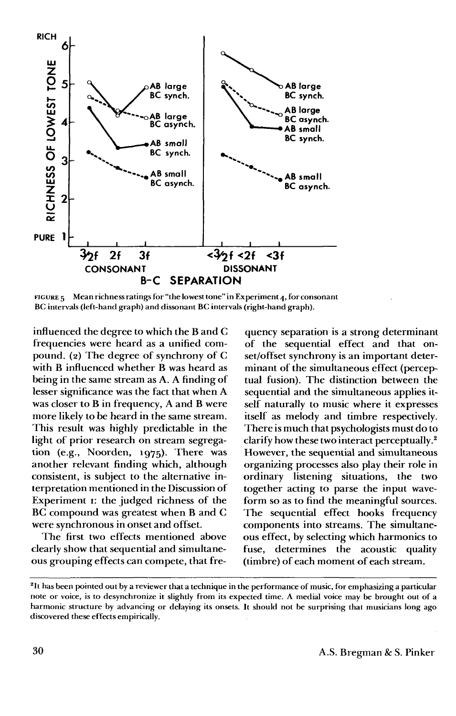

FIGURE  $5$  Mean richness ratings for "the lowest tone" in Experiment 4, for consonant BC intervals (left-hand graph) and dissonant BC intervals (right-hand graph).

influenced the degree to which the B and C frequencies were heard as a unified compound. (2) The degree of synchrony of C with B influenced whether B was heard as being in the same stream as A. A finding of lesser significance was the fact that when A was closer to B in frequency, A and B were more likely to be heard in the same stream. This result was highly predictable in the light of prior research on stream segregation (e.g., Noorden, 1975). There was another relevant finding which, although consistent, is subject to the alternative interpretation mentioned in the Discussion of Experiment 1: the judged richness of the BC compound was greatest when B and C were synchronous in onset and offset.

The first two effects mentioned above clearly show that sequential and simultaneous grouping effects can compete, that fre-

quency separation is a strong determinant of the sequential effect and that onset/offset synchrony is an important determinant of the simultaneous effect (perceptual fusion). The distinction between the sequential and the simultaneous applies itself naturally to music where it expresses itself as melody and timbre respectively. There is much that psychologists must do to clarify how these two interact perceptually.<sup>2</sup> However, the sequential and simultaneous organizing processes also play their role in ordinary listening situations, the two together acting to parse the input waveform so as to find the meaningful sources. The sequential effect hooks frequency components into streams. The simultaneous effect, by selecting which harmonics to fuse, determines the acoustic quality (timbre) of each moment of each stream.

<sup>2</sup> It has been pointed out by a reviewer that a technique in the performance of music, for emphasizing a particular note or voice, is to desynchronize it slightly from its expected time. A medial voice may be brought out of a harmonic structure by advancing or delaying its onsets. It should not be surprising that musicians long ago discovered these effects empirically.